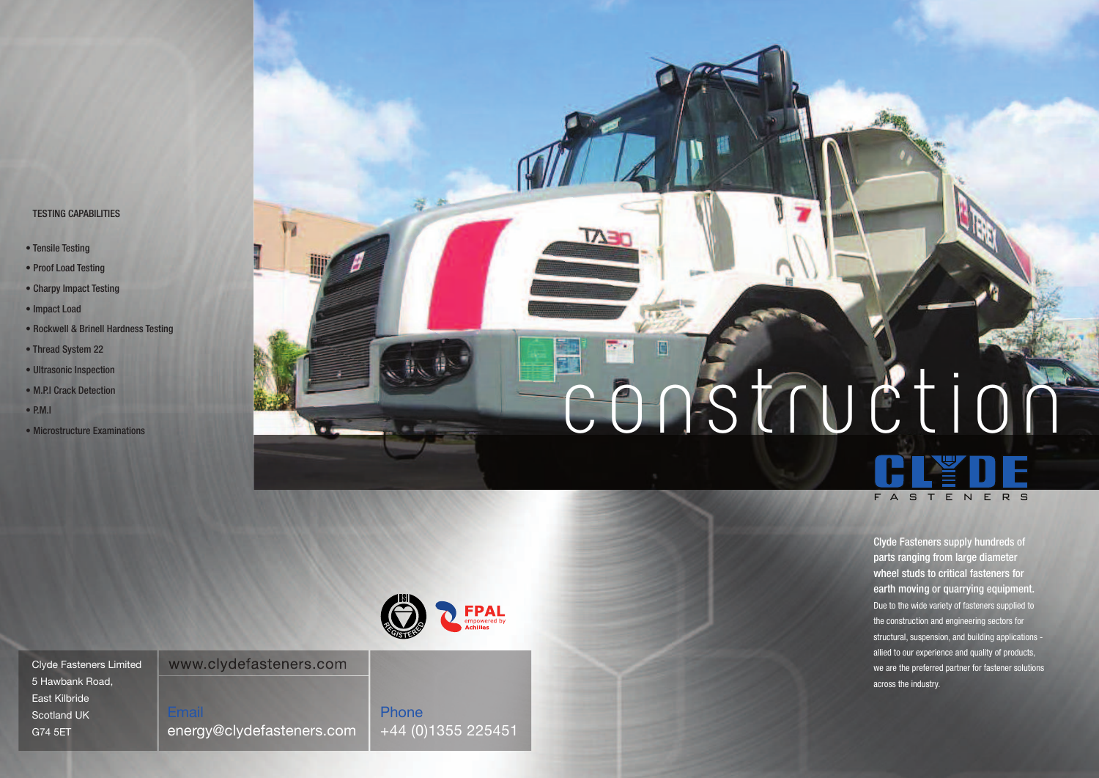Clyde Fasteners supply hundreds of parts ranging from large diameter wheel studs to critical fasteners for earth moving or quarrying equipment. Due to the wide variety of fasteners supplied to the construction and engineering sectors for structural, suspension, and building applications allied to our experience and quality of products, we are the preferred partner for fastener solutions across the industry.

| <b>Clyde Fasteners Limited</b> | www.clydefasteners.com    |                    |
|--------------------------------|---------------------------|--------------------|
| 5 Hawbank Road,                |                           |                    |
| East Kilbride                  |                           |                    |
| <b>Scotland UK</b>             | Email                     | <b>Phone</b>       |
| G74 5ET                        | energy@clydefasteners.com | +44 (0)1355 225451 |





## TESTING CAPABILITIES

- Tensile Testing
- Proof Load Testing
- Charpy Impact Testing
- Impact Load
- Rockwell & Brinell Hardness Testing
- Thread System 22
- Ultrasonic Inspection
- M.P.I Crack Detection
- $\bullet$  P.M.I.
- Microstructure Examinations